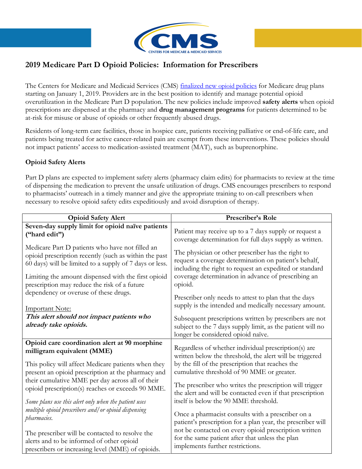

## 2019 Medicare Part D Opioid Policies: Information for Prescribers

The Centers for Medicare and Medicaid Services (CMS) *[finalized new](https://www.cms.gov/Medicare/Prescription-Drug-coverage/PrescriptionDrugCovContra/RxUtilization.html) opioid policies* for Medicare drug plans starting on January 1, 2019. Providers are in the best position to identify and manage potential opioid overutilization in the Medicare Part D population. The new policies include improved safety alerts when opioid prescriptions are dispensed at the pharmacy and drug management programs for patients determined to be at-risk for misuse or abuse of opioids or other frequently abused drugs.

Residents of long-term care facilities, those in hospice care, patients receiving palliative or end-of-life care, and patients being treated for active cancer-related pain are exempt from these interventions. These policies should not impact patients' access to medication-assisted treatment (MAT), such as buprenorphine.

## Opioid Safety Alerts

Part D plans are expected to implement safety alerts (pharmacy claim edits) for pharmacists to review at the time of dispensing the medication to prevent the unsafe utilization of drugs. CMS encourages prescribers to respond to pharmacists' outreach in a timely manner and give the appropriate training to on-call prescribers when necessary to resolve opioid safety edits expeditiously and avoid disruption of therapy.

| <b>Opioid Safety Alert</b>                                         | Prescriber's Role                                                                                                                                           |
|--------------------------------------------------------------------|-------------------------------------------------------------------------------------------------------------------------------------------------------------|
| Seven-day supply limit for opioid naïve patients                   | Patient may receive up to a 7 days supply or request a                                                                                                      |
| ("hard edit")                                                      | coverage determination for full days supply as written.                                                                                                     |
| Medicare Part D patients who have not filled an                    | The physician or other prescriber has the right to                                                                                                          |
| opioid prescription recently (such as within the past              | request a coverage determination on patient's behalf,                                                                                                       |
| 60 days) will be limited to a supply of 7 days or less.            | including the right to request an expedited or standard                                                                                                     |
| Limiting the amount dispensed with the first opioid                | coverage determination in advance of prescribing an                                                                                                         |
| prescription may reduce the risk of a future                       | opioid.                                                                                                                                                     |
| dependency or overuse of these drugs.                              | Prescriber only needs to attest to plan that the days                                                                                                       |
| <b>Important Note:</b>                                             | supply is the intended and medically necessary amount.                                                                                                      |
| This alert should not impact patients who<br>already take opioids. | Subsequent prescriptions written by prescribers are not<br>subject to the 7 days supply limit, as the patient will no<br>longer be considered opioid naïve. |
| Opioid care coordination alert at 90 morphine                      | Regardless of whether individual prescription(s) are                                                                                                        |
| milligram equivalent (MME)                                         | written below the threshold, the alert will be triggered                                                                                                    |
| This policy will affect Medicare patients when they                | by the fill of the prescription that reaches the                                                                                                            |
| present an opioid prescription at the pharmacy and                 | cumulative threshold of 90 MME or greater.                                                                                                                  |
| their cumulative MME per day across all of their                   | The prescriber who writes the prescription will trigger                                                                                                     |
| opioid prescription(s) reaches or exceeds 90 MME.                  | the alert and will be contacted even if that prescription                                                                                                   |
| Some plans use this alert only when the patient uses               | itself is below the 90 MME threshold.                                                                                                                       |
| multiple opioid prescribers and/ or opioid dispensing              | Once a pharmacist consults with a prescriber on a                                                                                                           |
| pharmacies.                                                        | patient's prescription for a plan year, the prescriber will                                                                                                 |
| The prescriber will be contacted to resolve the                    | not be contacted on every opioid prescription written                                                                                                       |
| alerts and to be informed of other opioid                          | for the same patient after that unless the plan                                                                                                             |
| prescribers or increasing level (MME) of opioids.                  | implements further restrictions.                                                                                                                            |